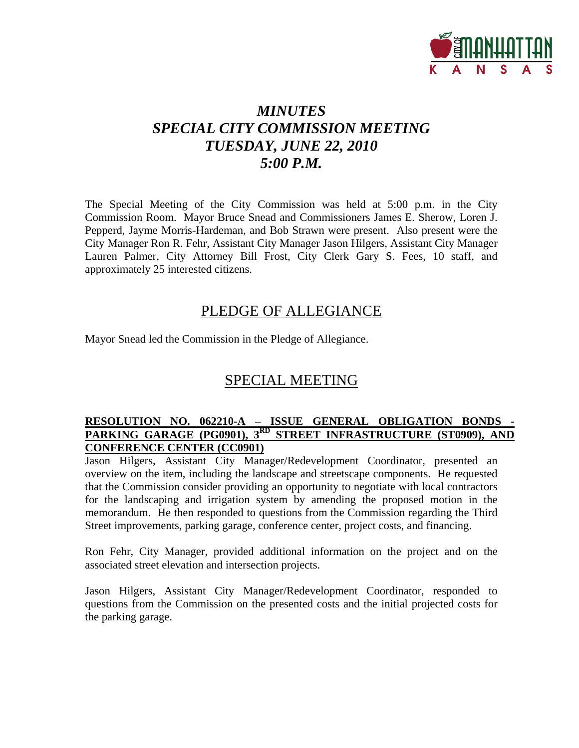

# *MINUTES SPECIAL CITY COMMISSION MEETING TUESDAY, JUNE 22, 2010 5:00 P.M.*

The Special Meeting of the City Commission was held at 5:00 p.m. in the City Commission Room. Mayor Bruce Snead and Commissioners James E. Sherow, Loren J. Pepperd, Jayme Morris-Hardeman, and Bob Strawn were present. Also present were the City Manager Ron R. Fehr, Assistant City Manager Jason Hilgers, Assistant City Manager Lauren Palmer, City Attorney Bill Frost, City Clerk Gary S. Fees, 10 staff, and approximately 25 interested citizens.

### PLEDGE OF ALLEGIANCE

Mayor Snead led the Commission in the Pledge of Allegiance.

# SPECIAL MEETING

#### **RESOLUTION NO. 062210-A – ISSUE GENERAL OBLIGATION BONDS - PARKING GARAGE (PG0901), 3RD STREET INFRASTRUCTURE (ST0909), AND CONFERENCE CENTER (CC0901)**

Jason Hilgers, Assistant City Manager/Redevelopment Coordinator, presented an overview on the item, including the landscape and streetscape components. He requested that the Commission consider providing an opportunity to negotiate with local contractors for the landscaping and irrigation system by amending the proposed motion in the memorandum. He then responded to questions from the Commission regarding the Third Street improvements, parking garage, conference center, project costs, and financing.

Ron Fehr, City Manager, provided additional information on the project and on the associated street elevation and intersection projects.

Jason Hilgers, Assistant City Manager/Redevelopment Coordinator, responded to questions from the Commission on the presented costs and the initial projected costs for the parking garage.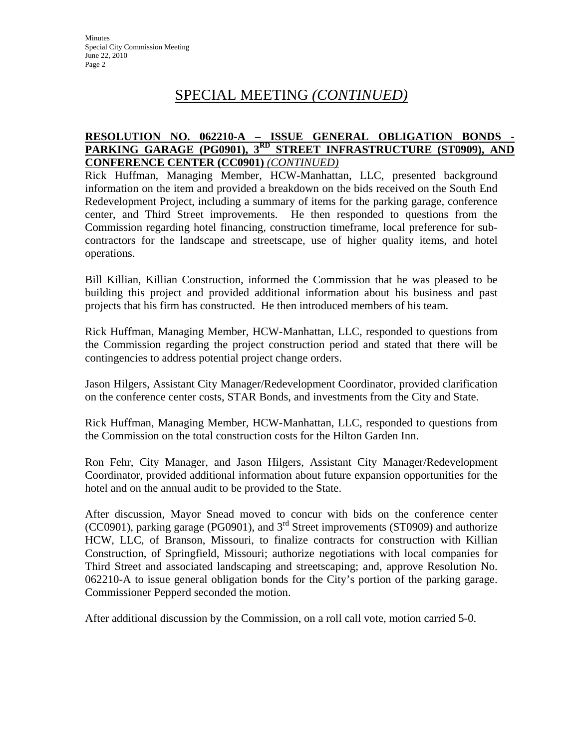# SPECIAL MEETING *(CONTINUED)*

### **RESOLUTION NO. 062210-A - ISSUE GENERAL OBLIGATION BONDS PARKING GARAGE (PG0901), 3RD STREET INFRASTRUCTURE (ST0909), AND CONFERENCE CENTER (CC0901)** *(CONTINUED)*

Rick Huffman, Managing Member, HCW-Manhattan, LLC, presented background information on the item and provided a breakdown on the bids received on the South End Redevelopment Project, including a summary of items for the parking garage, conference center, and Third Street improvements. He then responded to questions from the Commission regarding hotel financing, construction timeframe, local preference for subcontractors for the landscape and streetscape, use of higher quality items, and hotel operations.

Bill Killian, Killian Construction, informed the Commission that he was pleased to be building this project and provided additional information about his business and past projects that his firm has constructed. He then introduced members of his team.

Rick Huffman, Managing Member, HCW-Manhattan, LLC, responded to questions from the Commission regarding the project construction period and stated that there will be contingencies to address potential project change orders.

Jason Hilgers, Assistant City Manager/Redevelopment Coordinator, provided clarification on the conference center costs, STAR Bonds, and investments from the City and State.

Rick Huffman, Managing Member, HCW-Manhattan, LLC, responded to questions from the Commission on the total construction costs for the Hilton Garden Inn.

Ron Fehr, City Manager, and Jason Hilgers, Assistant City Manager/Redevelopment Coordinator, provided additional information about future expansion opportunities for the hotel and on the annual audit to be provided to the State.

After discussion, Mayor Snead moved to concur with bids on the conference center (CC0901), parking garage (PG0901), and 3rd Street improvements (ST0909) and authorize HCW, LLC, of Branson, Missouri, to finalize contracts for construction with Killian Construction, of Springfield, Missouri; authorize negotiations with local companies for Third Street and associated landscaping and streetscaping; and, approve Resolution No. 062210-A to issue general obligation bonds for the City's portion of the parking garage. Commissioner Pepperd seconded the motion.

After additional discussion by the Commission, on a roll call vote, motion carried 5-0.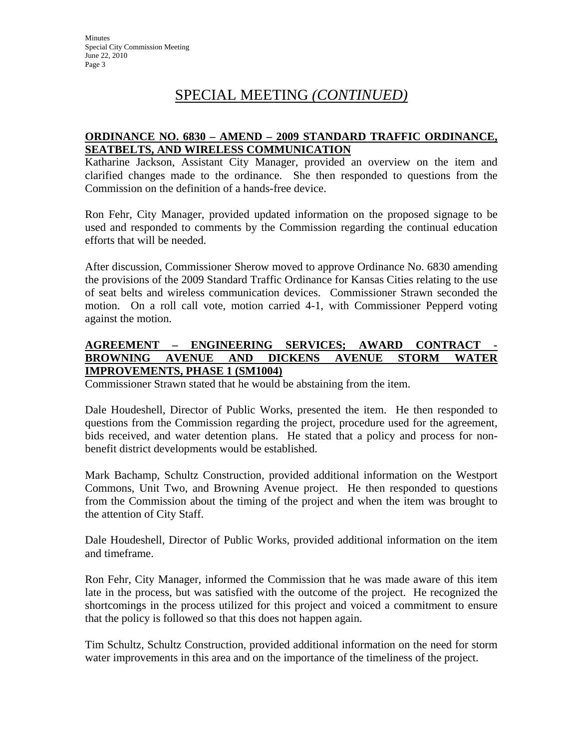# SPECIAL MEETING *(CONTINUED)*

#### **ORDINANCE NO. 6830 – AMEND – 2009 STANDARD TRAFFIC ORDINANCE, SEATBELTS, AND WIRELESS COMMUNICATION**

Katharine Jackson, Assistant City Manager, provided an overview on the item and clarified changes made to the ordinance. She then responded to questions from the Commission on the definition of a hands-free device.

Ron Fehr, City Manager, provided updated information on the proposed signage to be used and responded to comments by the Commission regarding the continual education efforts that will be needed.

After discussion, Commissioner Sherow moved to approve Ordinance No. 6830 amending the provisions of the 2009 Standard Traffic Ordinance for Kansas Cities relating to the use of seat belts and wireless communication devices. Commissioner Strawn seconded the motion. On a roll call vote, motion carried 4-1, with Commissioner Pepperd voting against the motion.

#### **AGREEMENT – ENGINEERING SERVICES; AWARD CONTRACT - BROWNING AVENUE AND DICKENS AVENUE STORM WATER IMPROVEMENTS, PHASE 1 (SM1004)**

Commissioner Strawn stated that he would be abstaining from the item.

Dale Houdeshell, Director of Public Works, presented the item. He then responded to questions from the Commission regarding the project, procedure used for the agreement, bids received, and water detention plans. He stated that a policy and process for nonbenefit district developments would be established.

Mark Bachamp, Schultz Construction, provided additional information on the Westport Commons, Unit Two, and Browning Avenue project. He then responded to questions from the Commission about the timing of the project and when the item was brought to the attention of City Staff.

Dale Houdeshell, Director of Public Works, provided additional information on the item and timeframe.

Ron Fehr, City Manager, informed the Commission that he was made aware of this item late in the process, but was satisfied with the outcome of the project. He recognized the shortcomings in the process utilized for this project and voiced a commitment to ensure that the policy is followed so that this does not happen again.

Tim Schultz, Schultz Construction, provided additional information on the need for storm water improvements in this area and on the importance of the timeliness of the project.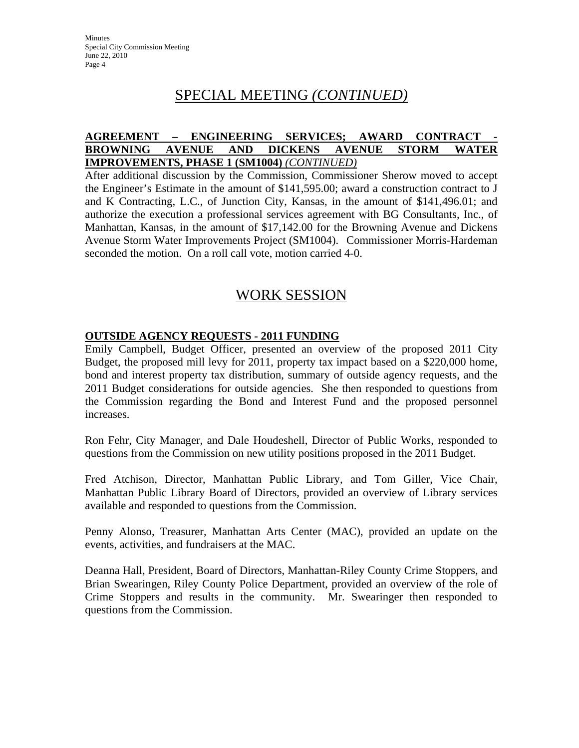## SPECIAL MEETING *(CONTINUED)*

#### **AGREEMENT – ENGINEERING SERVICES; AWARD CONTRACT - BROWNING AVENUE AND DICKENS AVENUE STORM WATER IMPROVEMENTS, PHASE 1 (SM1004)** *(CONTINUED)*

After additional discussion by the Commission, Commissioner Sherow moved to accept the Engineer's Estimate in the amount of \$141,595.00; award a construction contract to J and K Contracting, L.C., of Junction City, Kansas, in the amount of \$141,496.01; and authorize the execution a professional services agreement with BG Consultants, Inc., of Manhattan, Kansas, in the amount of \$17,142.00 for the Browning Avenue and Dickens Avenue Storm Water Improvements Project (SM1004). Commissioner Morris-Hardeman seconded the motion. On a roll call vote, motion carried 4-0.

### WORK SESSION

### **OUTSIDE AGENCY REQUESTS - 2011 FUNDING**

Emily Campbell, Budget Officer, presented an overview of the proposed 2011 City Budget, the proposed mill levy for 2011, property tax impact based on a \$220,000 home, bond and interest property tax distribution, summary of outside agency requests, and the 2011 Budget considerations for outside agencies. She then responded to questions from the Commission regarding the Bond and Interest Fund and the proposed personnel increases.

Ron Fehr, City Manager, and Dale Houdeshell, Director of Public Works, responded to questions from the Commission on new utility positions proposed in the 2011 Budget.

Fred Atchison, Director, Manhattan Public Library, and Tom Giller, Vice Chair, Manhattan Public Library Board of Directors, provided an overview of Library services available and responded to questions from the Commission.

Penny Alonso, Treasurer, Manhattan Arts Center (MAC), provided an update on the events, activities, and fundraisers at the MAC.

Deanna Hall, President, Board of Directors, Manhattan-Riley County Crime Stoppers, and Brian Swearingen, Riley County Police Department, provided an overview of the role of Crime Stoppers and results in the community. Mr. Swearinger then responded to questions from the Commission.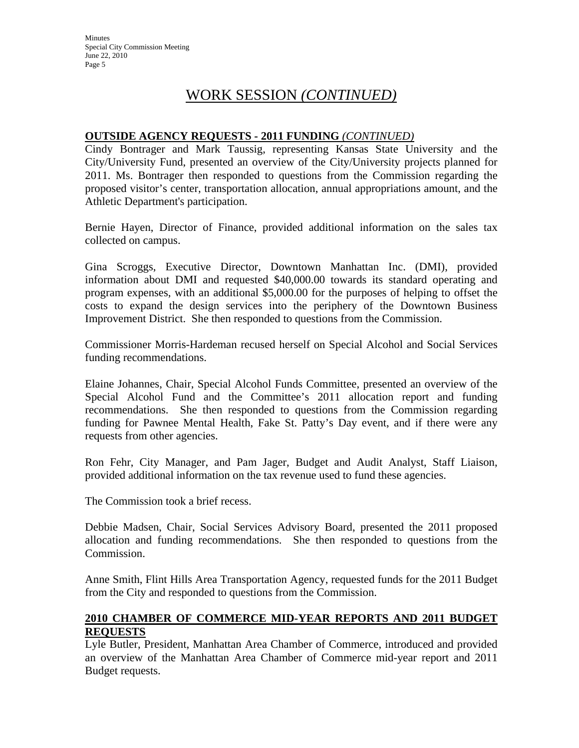# WORK SESSION *(CONTINUED)*

#### **OUTSIDE AGENCY REQUESTS - 2011 FUNDING** *(CONTINUED)*

Cindy Bontrager and Mark Taussig, representing Kansas State University and the City/University Fund, presented an overview of the City/University projects planned for 2011. Ms. Bontrager then responded to questions from the Commission regarding the proposed visitor's center, transportation allocation, annual appropriations amount, and the Athletic Department's participation.

Bernie Hayen, Director of Finance, provided additional information on the sales tax collected on campus.

Gina Scroggs, Executive Director, Downtown Manhattan Inc. (DMI), provided information about DMI and requested \$40,000.00 towards its standard operating and program expenses, with an additional \$5,000.00 for the purposes of helping to offset the costs to expand the design services into the periphery of the Downtown Business Improvement District. She then responded to questions from the Commission.

Commissioner Morris-Hardeman recused herself on Special Alcohol and Social Services funding recommendations.

Elaine Johannes, Chair, Special Alcohol Funds Committee, presented an overview of the Special Alcohol Fund and the Committee's 2011 allocation report and funding recommendations. She then responded to questions from the Commission regarding funding for Pawnee Mental Health, Fake St. Patty's Day event, and if there were any requests from other agencies.

Ron Fehr, City Manager, and Pam Jager, Budget and Audit Analyst, Staff Liaison, provided additional information on the tax revenue used to fund these agencies.

The Commission took a brief recess.

Debbie Madsen, Chair, Social Services Advisory Board, presented the 2011 proposed allocation and funding recommendations. She then responded to questions from the Commission.

Anne Smith, Flint Hills Area Transportation Agency, requested funds for the 2011 Budget from the City and responded to questions from the Commission.

### **2010 CHAMBER OF COMMERCE MID-YEAR REPORTS AND 2011 BUDGET REQUESTS**

Lyle Butler, President, Manhattan Area Chamber of Commerce, introduced and provided an overview of the Manhattan Area Chamber of Commerce mid-year report and 2011 Budget requests.